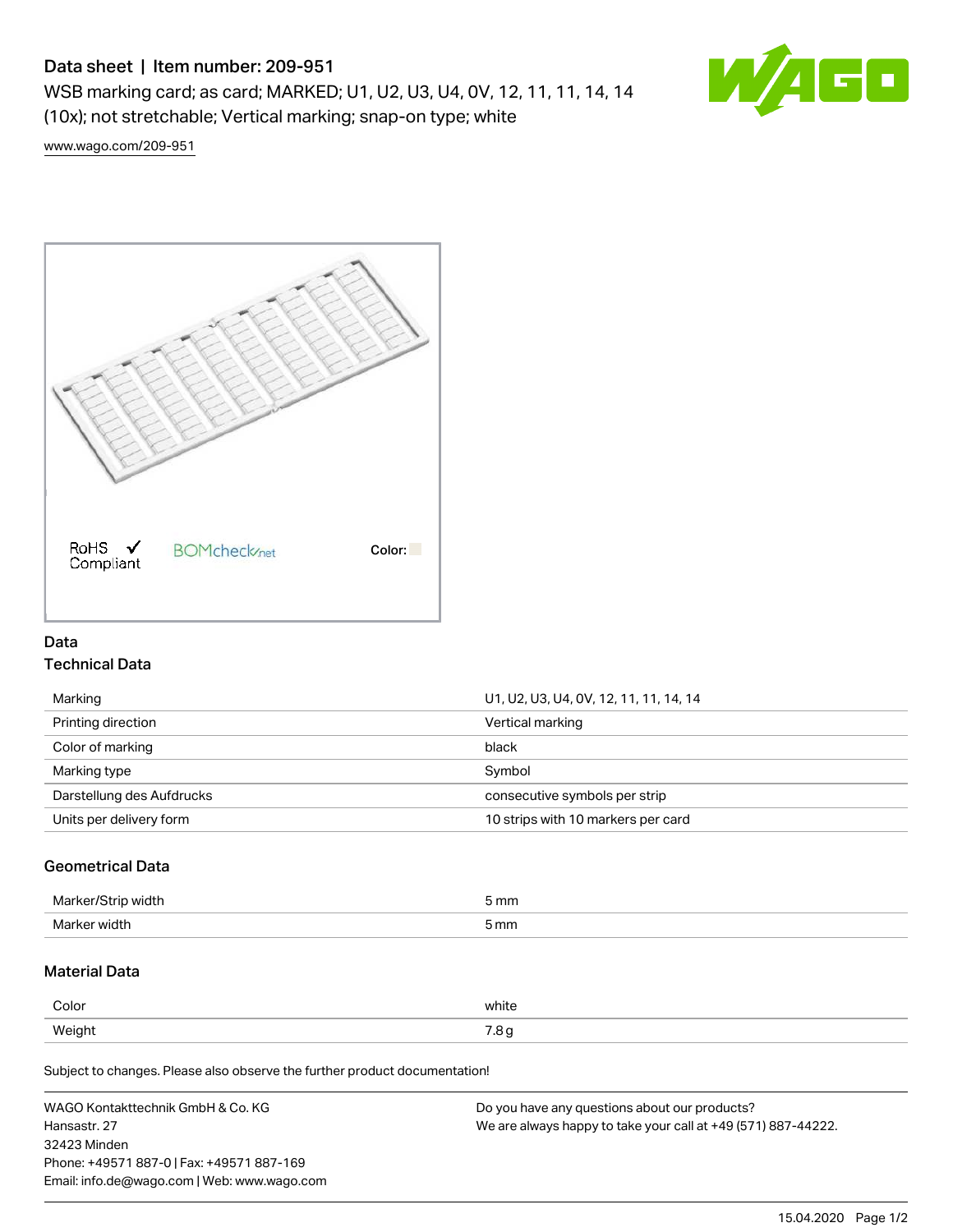# Data sheet | Item number: 209-951

WSB marking card; as card; MARKED; U1, U2, U3, U4, 0V, 12, 11, 11, 14, 14 (10x); not stretchable; Vertical marking; snap-on type; white



[www.wago.com/209-951](http://www.wago.com/209-951)



### Data Technical Data

| Marking                   | U1, U2, U3, U4, OV, 12, 11, 11, 14, 14 |  |
|---------------------------|----------------------------------------|--|
| Printing direction        | Vertical marking                       |  |
| Color of marking          | black                                  |  |
| Marking type              | Symbol                                 |  |
| Darstellung des Aufdrucks | consecutive symbols per strip          |  |
| Units per delivery form   | 10 strips with 10 markers per card     |  |
|                           |                                        |  |

## Geometrical Data

| Marker/Strip width | 5 mm |
|--------------------|------|
| Marker width       | 5 mm |

# Material Data

| Color  | white                        |
|--------|------------------------------|
| Weight | $\sim$ $\sim$<br>ن. ،<br>ل - |

Subject to changes. Please also observe the further product documentation!

| WAGO Kontakttechnik GmbH & Co. KG           | Do you have any questions about our products?                 |
|---------------------------------------------|---------------------------------------------------------------|
| Hansastr. 27                                | We are always happy to take your call at +49 (571) 887-44222. |
| 32423 Minden                                |                                                               |
| Phone: +49571 887-0   Fax: +49571 887-169   |                                                               |
| Email: info.de@wago.com   Web: www.wago.com |                                                               |